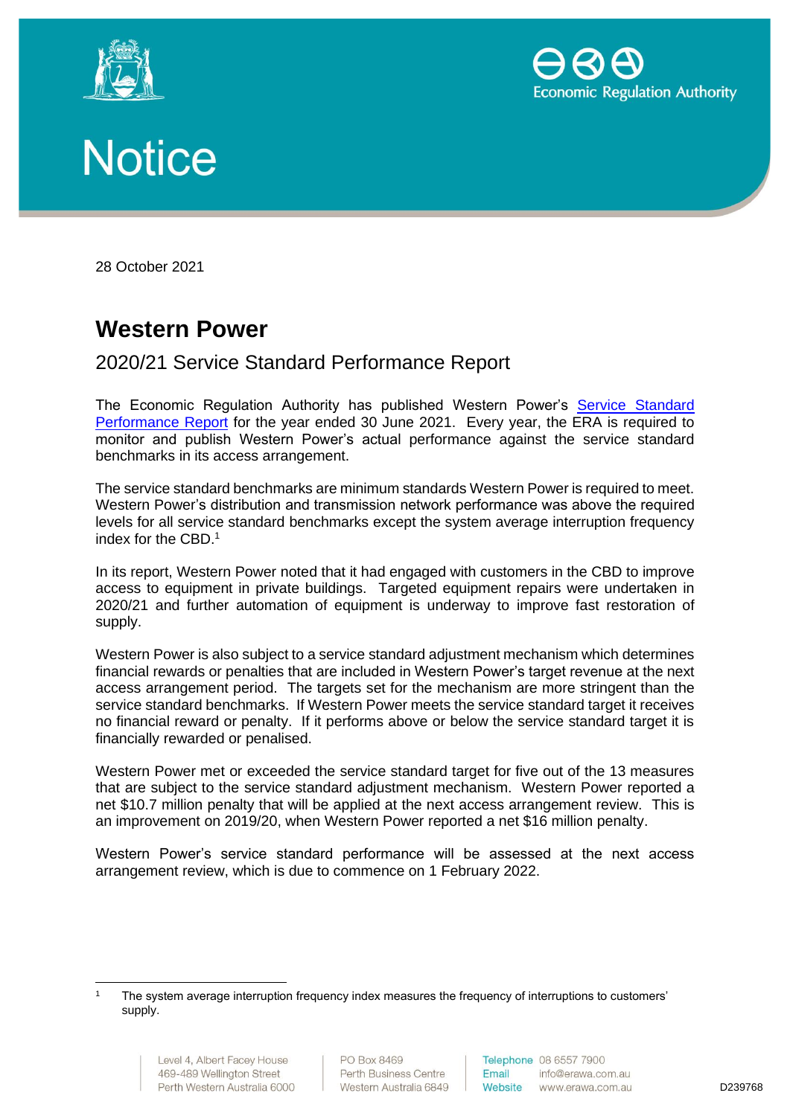





28 October 2021

## **Western Power**

2020/21 Service Standard Performance Report

The Economic Regulation Authority has published Western Power's [Service Standard](https://www.erawa.com.au/electricity/electricity-access/western-power-network/service-standards)  [Performance Report](https://www.erawa.com.au/electricity/electricity-access/western-power-network/service-standards) for the year ended 30 June 2021. Every year, the ERA is required to monitor and publish Western Power's actual performance against the service standard benchmarks in its access arrangement.

The service standard benchmarks are minimum standards Western Power is required to meet. Western Power's distribution and transmission network performance was above the required levels for all service standard benchmarks except the system average interruption frequency index for the CBD.<sup>1</sup>

In its report, Western Power noted that it had engaged with customers in the CBD to improve access to equipment in private buildings. Targeted equipment repairs were undertaken in 2020/21 and further automation of equipment is underway to improve fast restoration of supply.

Western Power is also subject to a service standard adjustment mechanism which determines financial rewards or penalties that are included in Western Power's target revenue at the next access arrangement period. The targets set for the mechanism are more stringent than the service standard benchmarks. If Western Power meets the service standard target it receives no financial reward or penalty. If it performs above or below the service standard target it is financially rewarded or penalised.

Western Power met or exceeded the service standard target for five out of the 13 measures that are subject to the service standard adjustment mechanism. Western Power reported a net \$10.7 million penalty that will be applied at the next access arrangement review. This is an improvement on 2019/20, when Western Power reported a net \$16 million penalty.

Western Power's service standard performance will be assessed at the next access arrangement review, which is due to commence on 1 February 2022.

The system average interruption frequency index measures the frequency of interruptions to customers' supply.